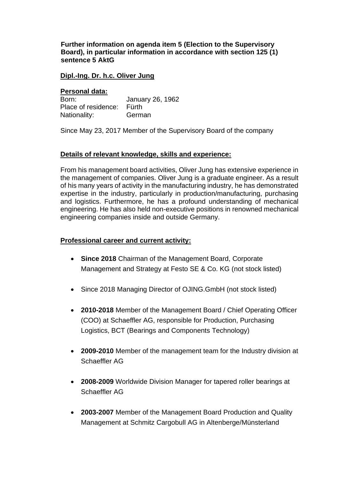**Further information on agenda item 5 (Election to the Supervisory Board), in particular information in accordance with section 125 (1) sentence 5 AktG** 

#### **Dipl.-Ing. Dr. h.c. Oliver Jung**

#### **Personal data:**

| Born:                     | January 26, 1962 |
|---------------------------|------------------|
| Place of residence: Fürth |                  |
| Nationality:              | German           |

Since May 23, 2017 Member of the Supervisory Board of the company

### **Details of relevant knowledge, skills and experience:**

From his management board activities, Oliver Jung has extensive experience in the management of companies. Oliver Jung is a graduate engineer. As a result of his many years of activity in the manufacturing industry, he has demonstrated expertise in the industry, particularly in production/manufacturing, purchasing and logistics. Furthermore, he has a profound understanding of mechanical engineering. He has also held non-executive positions in renowned mechanical engineering companies inside and outside Germany.

### **Professional career and current activity:**

- **Since 2018** Chairman of the Management Board, Corporate Management and Strategy at Festo SE & Co. KG (not stock listed)
- Since 2018 Managing Director of OJING.GmbH (not stock listed)
- **2010-2018** Member of the Management Board / Chief Operating Officer (COO) at Schaeffler AG, responsible for Production, Purchasing Logistics, BCT (Bearings and Components Technology)
- **2009-2010** Member of the management team for the Industry division at Schaeffler AG
- **2008-2009** Worldwide Division Manager for tapered roller bearings at Schaeffler AG
- **2003-2007** Member of the Management Board Production and Quality Management at Schmitz Cargobull AG in Altenberge/Münsterland